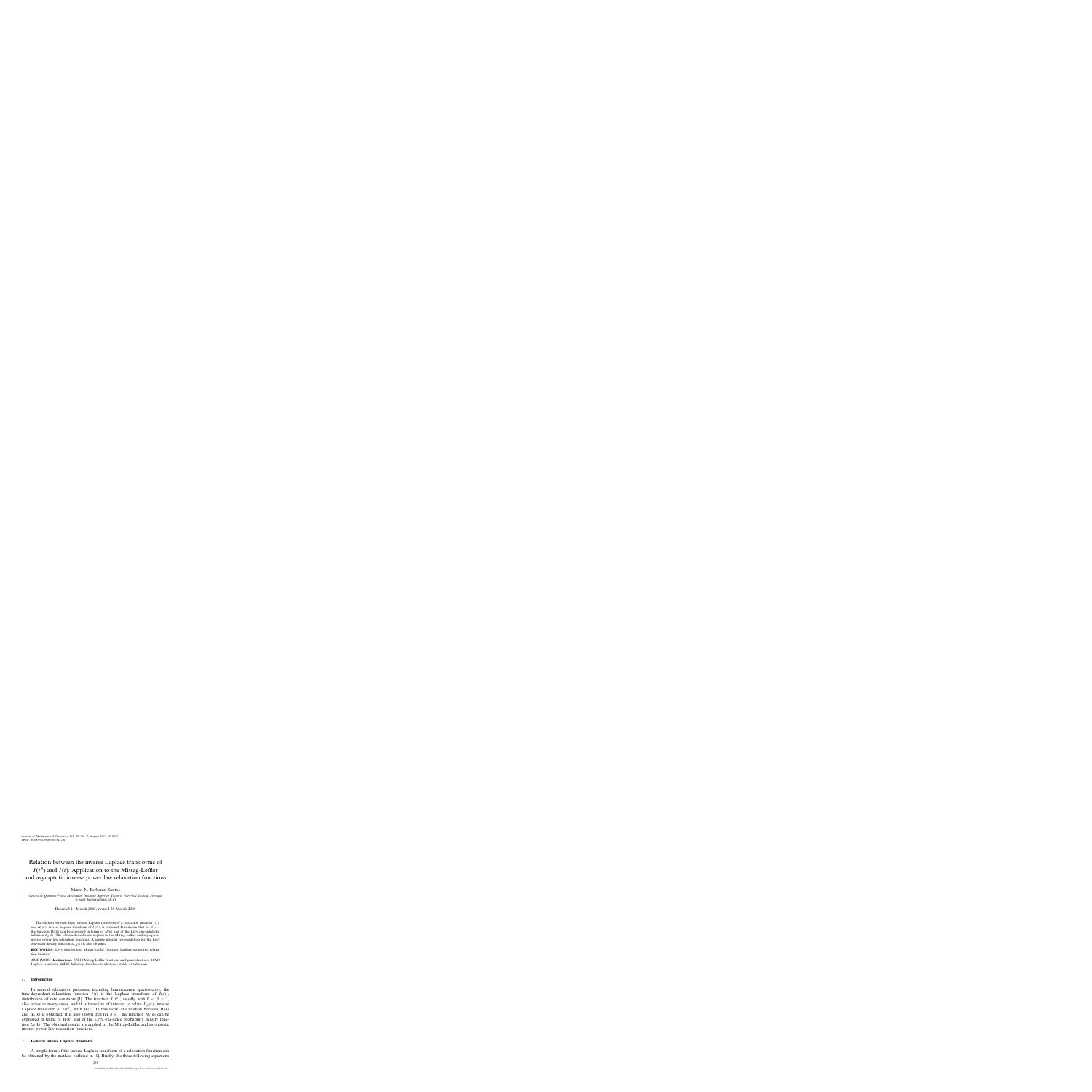DOI: 10.1007/s10910-005-5412-x *Journal of Mathematical Chemistry Vol. 38, No. 2, August 2005 (© 2005)*

# Relation between the inverse Laplace transforms of  $I(t^{\beta})$  and  $I(t)$ : Application to the Mittag-Leffler and asymptotic inverse power law relaxation functions

Mário N. Berberan-Santos

*Centro de Qu´ımica-F´ısica Molecular, Instituto Superior Tecnico, 1049-001 Lisboa, Portugal ´* E-mail: berberan@ist.utl.pt

Received 14 March 2005; revised 29 March 2005

The relation between  $H(k)$ , inverse Laplace transform of a relaxation function  $I(t)$ , and  $H_\beta(k)$ , inverse Laplace transform of  $I(t^\beta)$ , is obtained. It is shown that for  $\beta < 1$ the function  $H_\beta(k)$  can be expressed in terms of  $H(k)$  and of the Lévy one-sided distribution  $L_\beta(k)$ . The obtained results are applied to the Mittag-Leffler and asymptotic inverse power law relaxation functions. A simple integral representation for the Lévy one-sided density function  $L_{1/4}(k)$  is also obtained.

**KEY WORDS:** Lévy distribution, Mittag-Leffler function, Laplace transform, relaxation kinetics

**AMS (MOS) classifications:** 33E12 Mittag-Leffler functions and generalizations, 44A10 Laplace transform, 60E07 Infinitely divisible distributions; stable distributions

## **1. Introduction**

In several relaxation processes, including luminescence spectroscopy, the time-dependent relaxation function  $I(t)$  is the Laplace transform of  $H(k)$ , distribution of rate constants [1]. The function  $I(t^{\beta})$ , usually with  $0 < \beta < 1$ , also arises in many cases, and it is therefore of interest to relate  $H_\beta(k)$ , inverse Laplace transform of  $I(t^{\beta})$ , with  $H(k)$ . In this work, the relation between  $H(k)$ and  $H_\beta(k)$  is obtained. It is also shown that for  $\beta \leq 1$  the function  $H_\beta(k)$  can be expressed in terms of  $H(k)$  and of the Lévy one-sided probability density function  $L_\beta(k)$ . The obtained results are applied to the Mittag-Leffler and asymptotic inverse power law relaxation functions.

#### **2. General inverse Laplace transform**

A simple form of the inverse Laplace transform of a relaxation function can be obtained by the method outlined in [1]. Briefly, the three following equations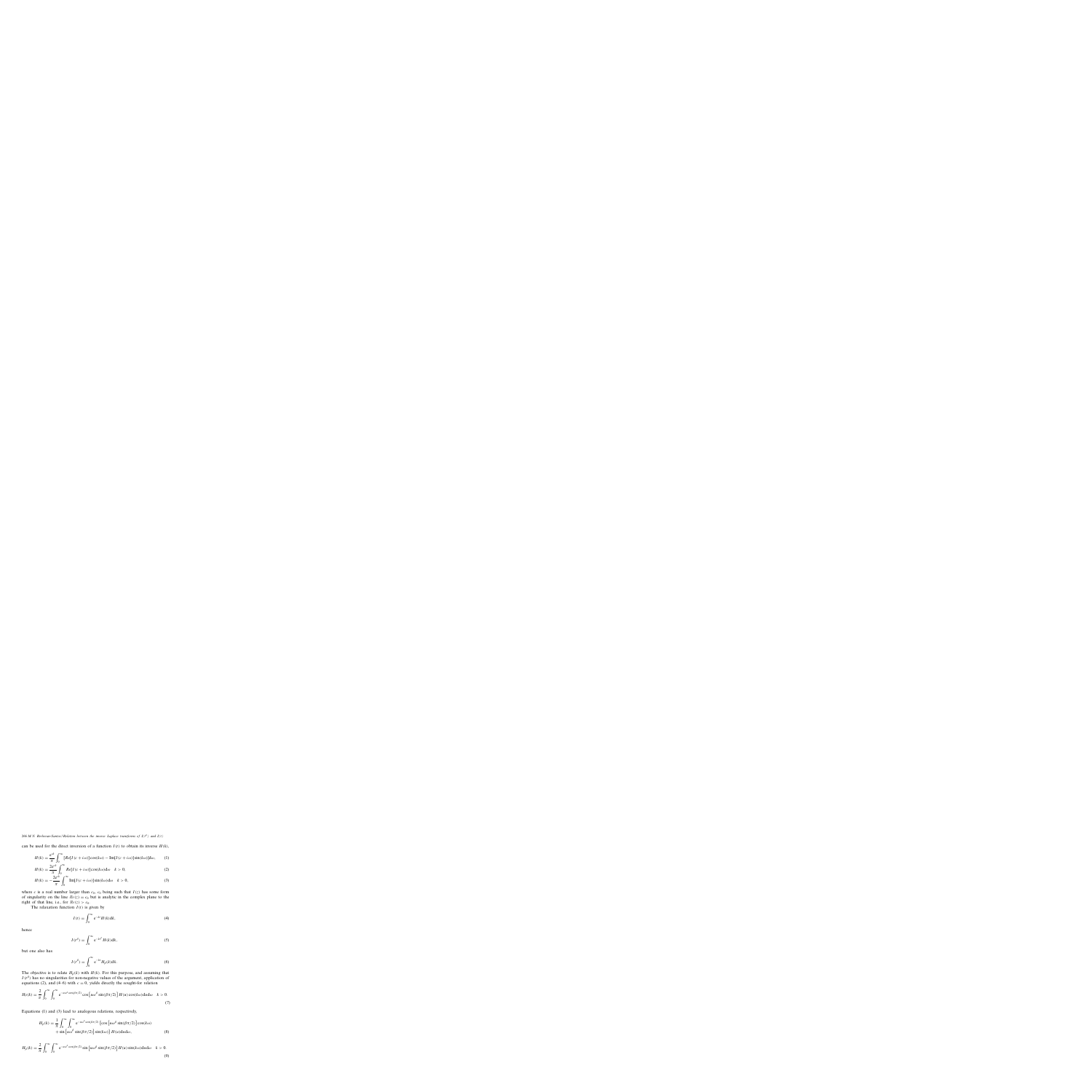266 *M.N. Berberan-Santos / Relation between the inverse Laplace transforms of I(t*<sup>β</sup> *) and I(t)*

can be used for the direct inversion of a function  $I(t)$  to obtain its inverse  $H(k)$ ,

$$
H(k) = \frac{e^{ck}}{\pi} \int_0^\infty [Re[I(c+i\omega)]\cos(k\omega) - Im[I(c+i\omega)]\sin(k\omega)]d\omega, \qquad (1)
$$

$$
H(k) = \frac{2e^{ck}}{\pi} \int_0^\infty Re[I(c+i\omega)]\cos(k\omega)d\omega \quad k > 0,
$$
 (2)

$$
H(k) = -\frac{2e^{ck}}{\pi} \int_0^\infty \text{Im}[I(c+i\omega)]\sin(k\omega)d\omega \quad k > 0,
$$
 (3)

where c is a real number larger than  $c_0$ ,  $c_0$  being such that  $I(z)$  has some form of singularity on the line  $Re(z) = c_0$  but is analytic in the complex plane to the right of that line, i.e., for  $Re(z) > c_0$ .

The relaxation function  $I(t)$  is given by

$$
I(t) = \int_0^\infty e^{-kt} H(k) dk,
$$
\n(4)

hence

$$
I(t^{\beta}) = \int_0^{\infty} e^{-kt^{\beta}} H(k) \mathrm{d}k,\tag{5}
$$

but one also has

$$
I(t^{\beta}) = \int_0^{\infty} e^{-kt} H_{\beta}(k) dk.
$$
 (6)

The objective is to relate  $H_\beta(k)$  with  $H(k)$ . For this purpose, and assuming that  $I(t^{\beta})$  has no singularities for non-negative values of the argument, application of equations (2), and (4–6) with  $c = 0$ , yields directly the sought-for relation

$$
H_{\beta}(k) = \frac{2}{\pi} \int_0^{\infty} \int_0^{\infty} e^{-u\omega^{\beta} \cos(\beta \pi/2)} \cos\left[u\omega^{\beta} \sin(\beta \pi/2)\right] H(u) \cos(k\omega) du d\omega \quad k > 0.
$$
\n(7)

Equations (1) and (3) lead to analogous relations, respectively,

$$
H_{\beta}(k) = \frac{1}{\pi} \int_0^{\infty} \int_0^{\infty} e^{-u\omega^{\beta} \cos(\beta \pi/2)} \left\{ \cos\left[u\omega^{\beta} \sin(\beta \pi/2)\right] \cos(k\omega) + \sin\left[u\omega^{\beta} \sin(\beta \pi/2)\right] \sin(k\omega) \right\} H(u) du d\omega, \tag{8}
$$

$$
H_{\beta}(k) = \frac{2}{\pi} \int_0^{\infty} \int_0^{\infty} e^{-u\omega^{\beta} \cos(\beta \pi/2)} \sin\left[u\omega^{\beta} \sin(\beta \pi/2)\right] H(u) \sin(k\omega) du d\omega \quad k > 0.
$$
\n(9)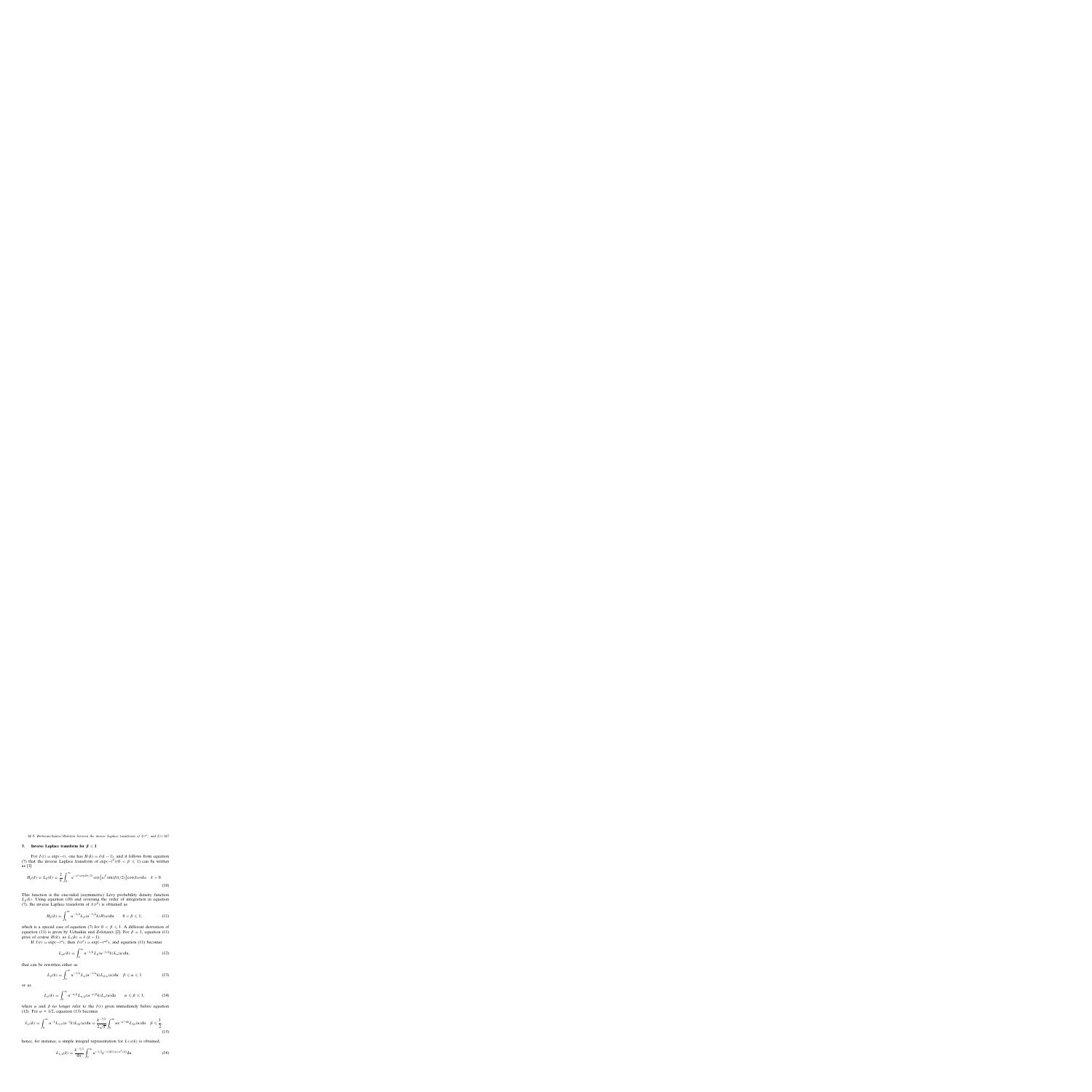### **3.** Inverse Laplace transform for  $\beta \leq 1$

For  $I(t) = \exp(-t)$ , one has  $H(k) = \delta(k-1)$ , and it follows from equation (7) that the inverse Laplace transform of  $\exp(-t^{\beta})(0 < \beta \le 1)$  can be written as [1]

$$
H_{\beta}(k) = L_{\beta}(k) = \frac{2}{\pi} \int_0^{\infty} e^{-\omega^{\beta} \cos(\beta \pi/2)} \cos \left[\omega^{\beta} \sin(\beta \pi/2)\right] \cos(k\omega) d\omega \quad k > 0.
$$
\n(10)

This function is the one-sided (asymmetric) Lévy probability density function  $L_{\beta}(k)$ . Using equation (10) and reversing the order of integration in equation (7), the inverse Laplace transform of  $I(t^{\beta})$  is obtained as

$$
H_{\beta}(k) = \int_0^{\infty} u^{-1/\beta} L_{\beta}(u^{-1/\beta}k) H(u) \mathrm{d}u \qquad 0 < \beta \leq 1,\tag{11}
$$

which is a special case of equation (7) for  $0 < \beta \leq 1$ . A different derivation of equation (11) is given by Uchaikin and Zolotarev [2]. For  $\beta = 1$ , equation (11) gives of course  $H(k)$ , as  $L_1(k) = \delta (k-1)$ .

If  $I(t) = \exp(-t^{\alpha})$ , then  $I(t^{\beta}) = \exp(-t^{\alpha \beta})$ , and equation (11) becomes

$$
L_{\alpha\beta}(k) = \int_0^\infty u^{-1/\beta} L_\beta(u^{-1/\beta} k) L_\alpha(u) \mathrm{d}u,\tag{12}
$$

that can be rewritten either as

$$
L_{\beta}(k) = \int_0^\infty u^{-1/\alpha} L_{\alpha}(u^{-1/\alpha}k) L_{\beta/\alpha}(u) du \quad \beta \leq \alpha \leq 1 \tag{13}
$$

or as

$$
L_{\beta}(k) = \int_0^{\infty} u^{-\alpha/\beta} L_{\alpha/\beta}(u^{-\alpha/\beta}k) L_{\alpha}(u) du \qquad \alpha \leq \beta \leq 1,
$$
 (14)

where  $\alpha$  and  $\beta$  no longer refer to the  $I(t)$  given immediately before equation (12). For  $\alpha = 1/2$ , equation (13) becomes

$$
L_{\beta}(k) = \int_0^{\infty} u^{-2} L_{1/2}(u^{-2}k) L_{2\beta}(u) \mathrm{d}u = \frac{k^{-3/2}}{2\sqrt{\pi}} \int_0^{\infty} u e^{-u^2/4k} L_{2\beta}(u) \mathrm{d}u \quad \beta \leq \frac{1}{2},\tag{15}
$$

hence, for instance, a simple integral representation for  $L_{1/4}(k)$  is obtained,

$$
L_{1/4}(k) = \frac{k^{-3/2}}{4\pi} \int_0^\infty u^{-1/2} e^{-1/4(1/u + u^2/k)} du.
$$
 (16)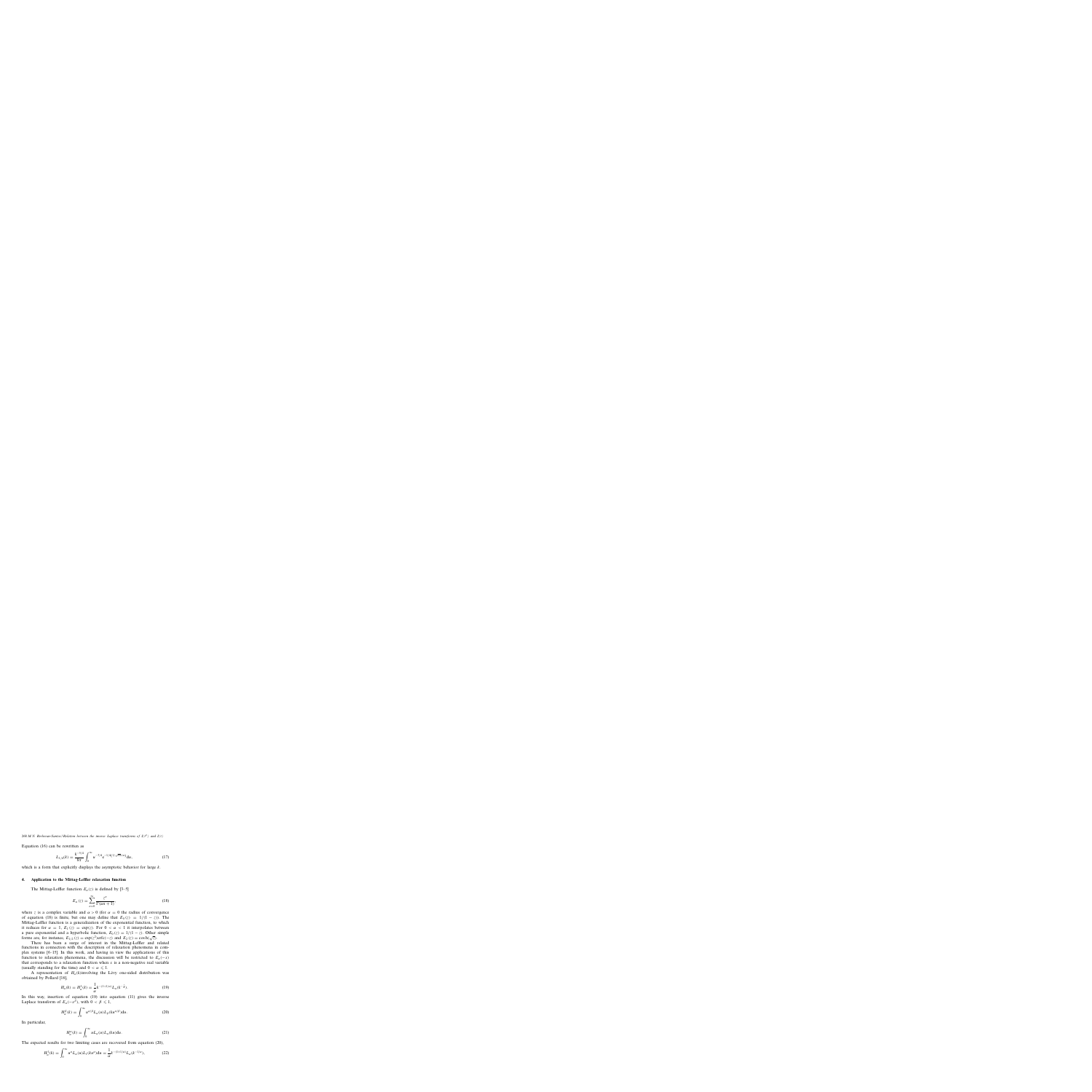268 *M.N. Berberan-Santos / Relation between the inverse Laplace transforms of I(t*<sup>β</sup> *) and I(t)*

Equation (16) can be rewritten as

$$
L_{1/4}(k) = \frac{k^{-5/4}}{8\pi} \int_0^\infty u^{-3/4} e^{-1/4(1/\sqrt{ku}+u)} du,
$$
 (17)

which is a form that explicitly displays the asymptotic behavior for large  $k$ .

#### **4. Application to the Mittag-Leffler relaxation function**

The Mittag-Leffler function  $E_\alpha(z)$  is defined by [3–5]

$$
E_{\alpha}(z) = \sum_{n=0}^{\infty} \frac{z^n}{\Gamma(\alpha n + 1)},
$$
\n(18)

where z is a complex variable and  $\alpha > 0$  (for  $\alpha = 0$  the radius of convergence of equation (18) is finite, but one may define that  $E_0(z) = 1/(1-z)$ . The Mittag-Leffler function is a generalization of the exponential function, to which it reduces for  $\alpha = 1$ ,  $E_1(z) = \exp(z)$ . For  $0 < \alpha < 1$  it interpolates between a pure exponential and a hyperbolic function,  $E_0(z) = 1/(1 - z)$ . Other simple forms are, for instance,  $E_{1/2}(z) = \exp(z^2) \text{erfc}(-z)$  and  $E_2(z) = \cosh(\sqrt{z})$ .

There has been a surge of interest in the Mittag-Leffler and related functions in connection with the description of relaxation phenomena in complex systems [6–15]. In this work, and having in view the applications of this function to relaxation phenomena, the discussion will be restricted to  $E_\alpha(-x)$ that corresponds to a relaxation function when  $x$  is a non-negative real variable (usually standing for the time) and  $0 < \alpha \leq 1$ .

A representation of  $H_\alpha(k)$  involving the Lévy one-sided distribution was obtained by Pollard [16],

$$
H_{\alpha}(k) = H_{\alpha}^{1}(k) = \frac{1}{\alpha} k^{-(1+1/\alpha)} L_{\alpha}(k^{-\frac{1}{\alpha}}).
$$
 (19)

In this way, insertion of equation (19) into equation (11) gives the inverse Laplace transform of  $E_{\alpha}(-x^{\overline{\beta}})$ , with  $0 < \beta \le 1$ ,

$$
H_{\alpha}^{\beta}(k) = \int_0^{\infty} u^{\alpha/\beta} L_{\alpha}(u) L_{\beta}(ku^{\alpha/\beta}) \mathrm{d}u. \tag{20}
$$

In particular,

$$
H_{\alpha}^{\alpha}(k) = \int_0^{\infty} u L_{\alpha}(u) L_{\alpha}(ku) \mathrm{d}u. \tag{21}
$$

The expected results for two limiting cases are recovered from equation (20),

$$
H^1_\alpha(k) = \int_0^\infty u^\alpha L_\alpha(u) L_1(ku^\alpha) \mathrm{d}u = \frac{1}{\alpha} k^{-(1+1/\alpha)} L_\alpha(k^{-1/\alpha}),\tag{22}
$$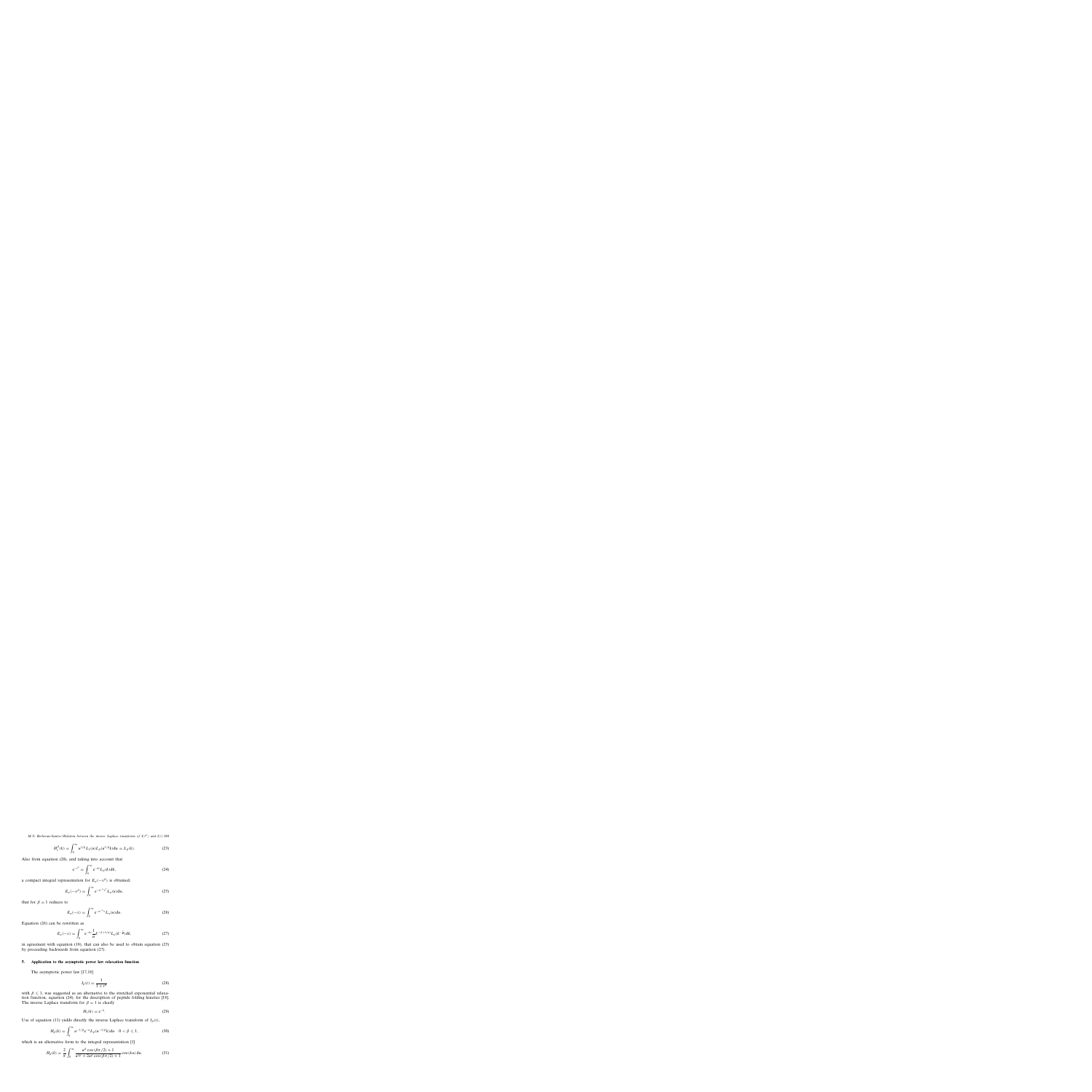*M.N. Berberan-Santos / Relation between the inverse Laplace transforms of I(t<sup>β</sup>) and I(t)* 269

$$
H_1^{\beta}(k) = \int_0^{\infty} u^{1/\beta} L_1(u) L_{\beta}(u^{1/\beta} k) \mathrm{d}u = L_{\beta}(k). \tag{23}
$$

Also from equation (20), and taking into account that

$$
e^{-t^{\beta}} = \int_0^{\infty} e^{-kt} L_{\beta}(k) dk,
$$
 (24)

a compact integral representation for  $E_{\alpha}(-x^{\beta})$  is obtained,

$$
E_{\alpha}(-x^{\beta}) = \int_0^{\infty} e^{-u^{-\alpha}x^{\beta}} L_{\alpha}(u) du,
$$
 (25)

that for  $\beta = 1$  reduces to

$$
E_{\alpha}(-x) = \int_0^{\infty} e^{-u^{-\alpha}x} L_{\alpha}(u) du.
$$
 (26)

Equation (26) can be rewritten as

$$
E_{\alpha}(-x) = \int_0^{\infty} e^{-kx} \frac{1}{\alpha} k^{-(1+1/\alpha)} L_{\alpha}(k^{-\frac{1}{\alpha}}) dk,
$$
 (27)

in agreement with equation (19), that can also be used to obtain equation (25) by proceeding backwards from equation (27).

# **5. Application to the asymptotic power law relaxation function**

The asymptotic power law [17,18]

$$
I_{\beta}(t) = \frac{1}{1+t^{\beta}}
$$
\n(28)

with  $\beta \leq 1$ , was suggested as an alternative to the stretched exponential relaxation function, equation (24), for the description of peptide folding kinetics [18]. The inverse Laplace transform for  $\beta = 1$  is clearly

$$
H_1(k) = e^{-k}.
$$
 (29)

Use of equation (11) yields directly the inverse Laplace transform of  $I_\beta(t)$ ,

$$
H_{\beta}(k) = \int_0^{\infty} u^{-1/\beta} e^{-u} L_{\beta}(u^{-1/\beta} k) du \quad 0 < \beta \leq 1,\tag{30}
$$

which is an alternative form to the integral representation [1]

$$
H_{\beta}(k) = \frac{2}{\pi} \int_0^{\infty} \frac{u^{\beta} \cos(\beta \pi/2) + 1}{u^{2\beta} + 2u^{\beta} \cos(\beta \pi/2) + 1} \cos(ku) du.
$$
 (31)